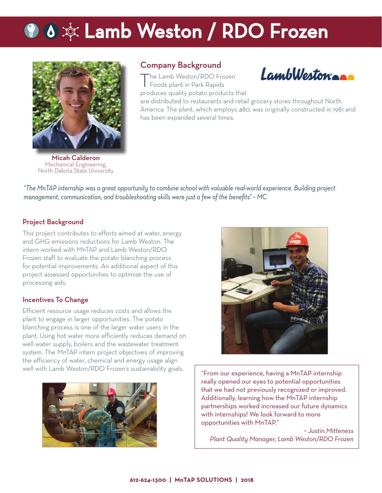# **Q &**  $\dot{\mathbf{\phi}}$  **Lamb Weston / RDO Frozen**



Micah Calderon Mechanical Engineering, North Dakota State University

## Company Background

The Lamb Weston/RDO Frozen Foods plant in Park Rapids produces quality potato products that



are distributed to restaurants and retail grocery stores throughout North America. The plant, which employs 480, was originally constructed in 1981 and has been expanded several times.

*"The MnTAP internship was a great opportunity to combine school with valuable real-world experience. Building project management, communication, and troubleshooting skills were just a few of the benefi ts" ~ MC*

#### Project Background

This project contributes to efforts aimed at water, energy and GHG emissions reductions for Lamb Weston. The intern worked with MnTAP and Lamb Weston/RDO Frozen staff to evaluate the potato blanching process for potential improvements. An additional aspect of this project assessed opportunities to optimize the use of processing aids.

#### Incentives To Change

Efficient resource usage reduces costs and allows the plant to engage in larger opportunities. The potato blanching process is one of the larger water users in the plant. Using hot water more efficiently reduces demand on well-water supply, boilers and the wastewater treatment system. The MnTAP intern project objectives of improving the efficiency of water, chemical and energy usage align well with Lamb Weston/RDO Frozen's sustainability goals.





"From our experience, having a MnTAP internship really opened our eyes to potential opportunities that we had not previously recognized or improved. Additionally, learning how the MnTAP internship partnerships worked increased our future dynamics with internships! We look forward to more opportunities with MnTAP."

*~ Justin Mitteness Plant Quality Manager, Lamb Weston/RDO Frozen*